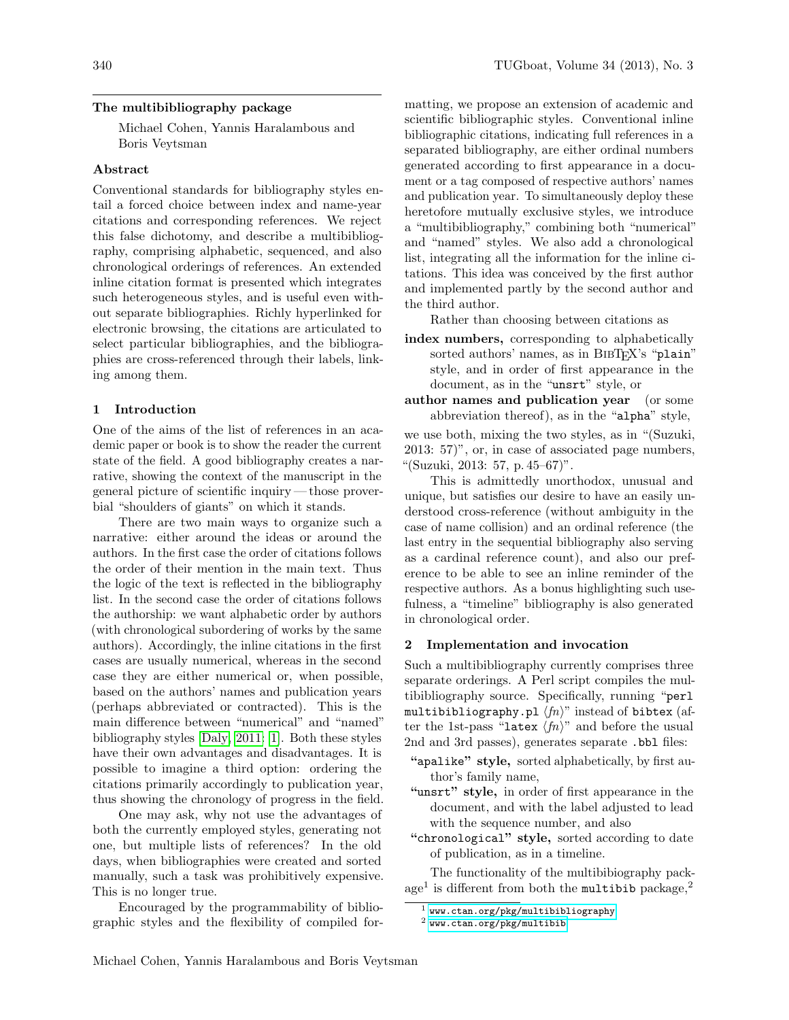## <span id="page-0-0"></span>The multibibliography package

Michael Cohen, Yannis Haralambous and Boris Veytsman

# Abstract

Conventional standards for bibliography styles entail a forced choice between index and name-year citations and corresponding references. We reject this false dichotomy, and describe a multibibliography, comprising alphabetic, sequenced, and also chronological orderings of references. An extended inline citation format is presented which integrates such heterogeneous styles, and is useful even without separate bibliographies. Richly hyperlinked for electronic browsing, the citations are articulated to select particular bibliographies, and the bibliographies are cross-referenced through their labels, linking among them.

#### 1 Introduction

One of the aims of the list of references in an academic paper or book is to show the reader the current state of the field. A good bibliography creates a narrative, showing the context of the manuscript in the general picture of scientific inquiry— those proverbial "shoulders of giants" on which it stands.

There are two main ways to organize such a narrative: either around the ideas or around the authors. In the first case the order of citations follows the order of their mention in the main text. Thus the logic of the text is reflected in the bibliography list. In the second case the order of citations follows the authorship: we want alphabetic order by authors (with chronological subordering of works by the same authors). Accordingly, the inline citations in the first cases are usually numerical, whereas in the second case they are either numerical or, when possible, based on the authors' names and publication years (perhaps abbreviated or contracted). This is the main difference between "numerical" and "named" bibliography styles [\[Daly,](#page-3-0) [2011:](#page-3-1) [1\]](#page-3-2). Both these styles have their own advantages and disadvantages. It is possible to imagine a third option: ordering the citations primarily accordingly to publication year, thus showing the chronology of progress in the field.

One may ask, why not use the advantages of both the currently employed styles, generating not one, but multiple lists of references? In the old days, when bibliographies were created and sorted manually, such a task was prohibitively expensive. This is no longer true.

Encouraged by the programmability of bibliographic styles and the flexibility of compiled formatting, we propose an extension of academic and scientific bibliographic styles. Conventional inline bibliographic citations, indicating full references in a separated bibliography, are either ordinal numbers generated according to first appearance in a document or a tag composed of respective authors' names and publication year. To simultaneously deploy these heretofore mutually exclusive styles, we introduce a "multibibliography," combining both "numerical" and "named" styles. We also add a chronological list, integrating all the information for the inline citations. This idea was conceived by the first author and implemented partly by the second author and the third author.

Rather than choosing between citations as

- index numbers, corresponding to alphabetically sorted authors' names, as in BIBTEX's "plain" style, and in order of first appearance in the document, as in the "unsrt" style, or
- author names and publication year (or some abbreviation thereof), as in the "alpha" style,

we use both, mixing the two styles, as in "(Suzuki, 2013: 57)", or, in case of associated page numbers, "(Suzuki, 2013: 57, p. 45–67)".

This is admittedly unorthodox, unusual and unique, but satisfies our desire to have an easily understood cross-reference (without ambiguity in the case of name collision) and an ordinal reference (the last entry in the sequential bibliography also serving as a cardinal reference count), and also our preference to be able to see an inline reminder of the respective authors. As a bonus highlighting such usefulness, a "timeline" bibliography is also generated in chronological order.

#### 2 Implementation and invocation

Such a multibibliography currently comprises three separate orderings. A Perl script compiles the multibibliography source. Specifically, running "perl multibibliography.pl  $\langle fn \rangle$ " instead of bibtex (after the 1st-pass "latex  $\langle fn \rangle$ " and before the usual 2nd and 3rd passes), generates separate .bbl files:

- "apalike" style, sorted alphabetically, by first author's family name,
- "unsrt" style, in order of first appearance in the document, and with the label adjusted to lead with the sequence number, and also
- "chronological" style, sorted according to date of publication, as in a timeline.

The functionality of the multibibiography pack- $\rm{age}^1$  is different from both the multibib package,<sup>2</sup>

 $1$  <www.ctan.org/pkg/multibibliography>

<sup>2</sup> <www.ctan.org/pkg/multibib>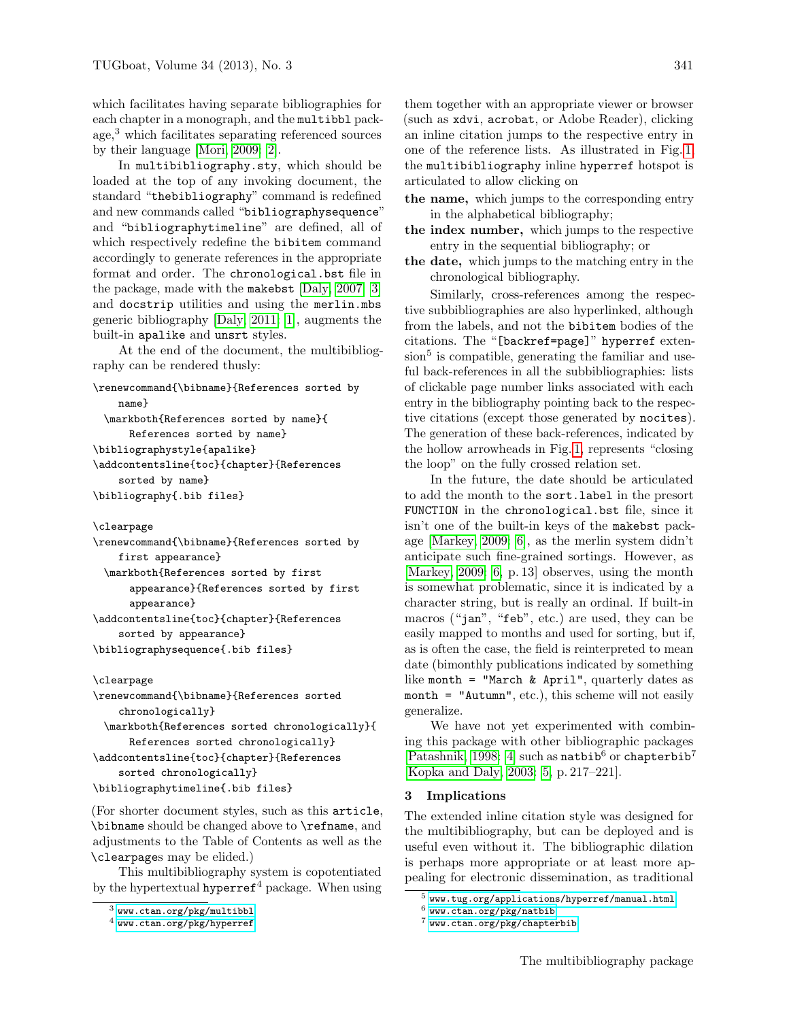<span id="page-1-0"></span>which facilitates having separate bibliographies for each chapter in a monograph, and the multibbl package, $3$  which facilitates separating referenced sources by their language [\[Mori,](#page-3-3) [2009:](#page-3-4) [2\]](#page-3-5).

In multibibliography.sty, which should be loaded at the top of any invoking document, the standard "thebibliography" command is redefined and new commands called "bibliographysequence" and "bibliographytimeline" are defined, all of which respectively redefine the bibitem command accordingly to generate references in the appropriate format and order. The chronological.bst file in the package, made with the makebst [\[Daly,](#page-3-6) [2007:](#page-3-7) [3\]](#page-3-8) and docstrip utilities and using the merlin.mbs generic bibliography [\[Daly,](#page-3-0) [2011:](#page-3-1) [1\]](#page-3-2), augments the built-in apalike and unsrt styles.

At the end of the document, the multibibliography can be rendered thusly:

```
\renewcommand{\bibname}{References sorted by
    name}
```
\markboth{References sorted by name}{ References sorted by name} \bibliographystyle{apalike} \addcontentsline{toc}{chapter}{References sorted by name} \bibliography{.bib files}

```
\clearpage
```

```
\renewcommand{\bibname}{References sorted by
    first appearance}
 \markboth{References sorted by first
      appearance}{References sorted by first
      appearance}
\addcontentsline{toc}{chapter}{References
    sorted by appearance}
```

```
\bibliographysequence{.bib files}
```
#### \clearpage

```
\renewcommand{\bibname}{References sorted
    chronologically}
 \markboth{References sorted chronologically}{
      References sorted chronologically}
\addcontentsline{toc}{chapter}{References
    sorted chronologically}
\bibliographytimeline{.bib files}
```
(For shorter document styles, such as this article, \bibname should be changed above to \refname, and adjustments to the Table of Contents as well as the \clearpages may be elided.)

This multibibliography system is copotentiated by the hypertextual hyperref<sup>4</sup> package. When using

them together with an appropriate viewer or browser (such as xdvi, acrobat, or Adobe Reader), clicking an inline citation jumps to the respective entry in one of the reference lists. As illustrated in Fig. [1,](#page-2-0) the multibibliography inline hyperref hotspot is articulated to allow clicking on

- the name, which jumps to the corresponding entry in the alphabetical bibliography;
- the index number, which jumps to the respective entry in the sequential bibliography; or
- the date, which jumps to the matching entry in the chronological bibliography.

Similarly, cross-references among the respective subbibliographies are also hyperlinked, although from the labels, and not the bibitem bodies of the citations. The "[backref=page]" hyperref extension<sup>5</sup> is compatible, generating the familiar and useful back-references in all the subbibliographies: lists of clickable page number links associated with each entry in the bibliography pointing back to the respective citations (except those generated by nocites). The generation of these back-references, indicated by the hollow arrowheads in Fig. [1,](#page-2-0) represents "closing the loop" on the fully crossed relation set.

In the future, the date should be articulated to add the month to the sort.label in the presort FUNCTION in the chronological.bst file, since it isn't one of the built-in keys of the makebst package [\[Markey,](#page-3-9) [2009:](#page-3-10) [6\]](#page-3-11), as the merlin system didn't anticipate such fine-grained sortings. However, as [\[Markey,](#page-3-9) [2009:](#page-3-10) [6,](#page-3-11) p. 13] observes, using the month is somewhat problematic, since it is indicated by a character string, but is really an ordinal. If built-in macros ("jan", "feb", etc.) are used, they can be easily mapped to months and used for sorting, but if, as is often the case, the field is reinterpreted to mean date (bimonthly publications indicated by something like month = "March & April", quarterly dates as month = "Autumn", etc.), this scheme will not easily generalize.

We have not yet experimented with combining this package with other bibliographic packages [\[Patashnik,](#page-3-12) [1998:](#page-3-13) [4\]](#page-3-14) such as natbib<sup>6</sup> or chapterbib<sup>7</sup> [\[Kopka and Daly,](#page-3-15) [2003:](#page-3-16) [5,](#page-3-17) p. 217–221].

# 3 Implications

The extended inline citation style was designed for the multibibliography, but can be deployed and is useful even without it. The bibliographic dilation is perhaps more appropriate or at least more appealing for electronic dissemination, as traditional

<sup>3</sup> <www.ctan.org/pkg/multibbl>

 $^4$  <www.ctan.org/pkg/hyperref>

<sup>5</sup> <www.tug.org/applications/hyperref/manual.html>

 $^6$ <www.ctan.org/pkg/natbib>

<sup>7</sup> <www.ctan.org/pkg/chapterbib>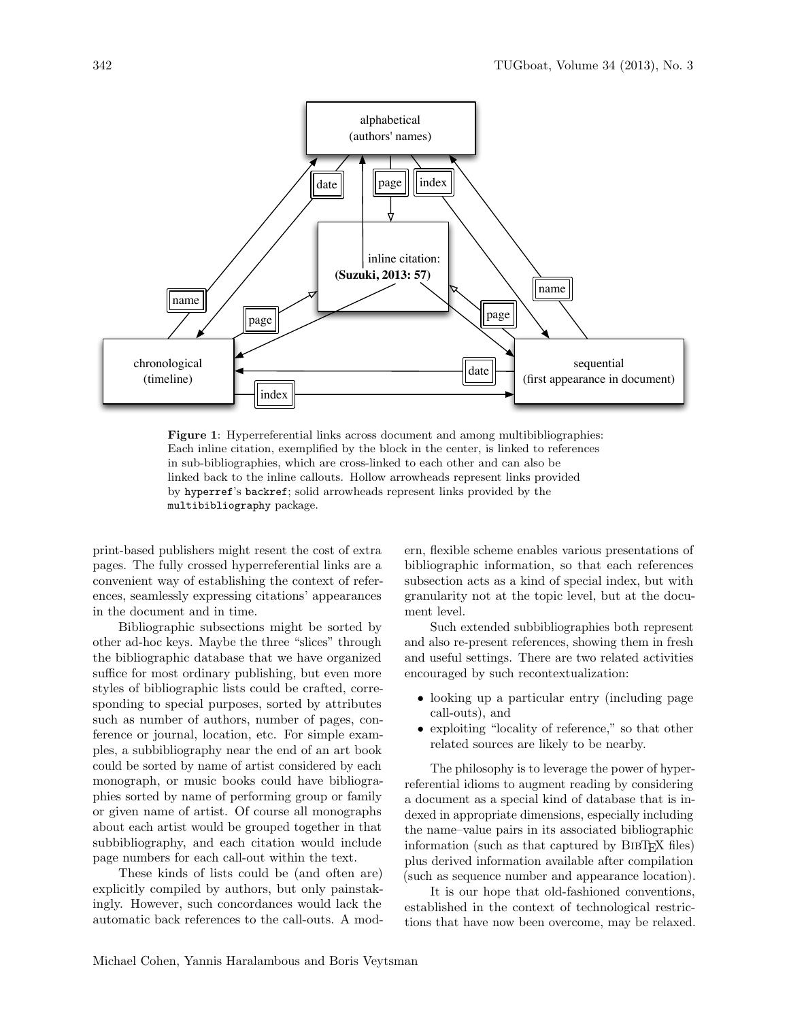

<span id="page-2-0"></span>Figure 1: Hyperreferential links across document and among multibibliographies: Each inline citation, exemplified by the block in the center, is linked to references in sub-bibliographies, which are cross-linked to each other and can also be linked back to the inline callouts. Hollow arrowheads represent links provided by hyperref's backref; solid arrowheads represent links provided by the multibibliography package.

print-based publishers might resent the cost of extra pages. The fully crossed hyperreferential links are a convenient way of establishing the context of references, seamlessly expressing citations' appearances in the document and in time.

Bibliographic subsections might be sorted by other ad-hoc keys. Maybe the three "slices" through the bibliographic database that we have organized suffice for most ordinary publishing, but even more styles of bibliographic lists could be crafted, corresponding to special purposes, sorted by attributes such as number of authors, number of pages, conference or journal, location, etc. For simple examples, a subbibliography near the end of an art book could be sorted by name of artist considered by each monograph, or music books could have bibliographies sorted by name of performing group or family or given name of artist. Of course all monographs about each artist would be grouped together in that subbibliography, and each citation would include page numbers for each call-out within the text.

These kinds of lists could be (and often are) explicitly compiled by authors, but only painstakingly. However, such concordances would lack the automatic back references to the call-outs. A modern, flexible scheme enables various presentations of bibliographic information, so that each references subsection acts as a kind of special index, but with granularity not at the topic level, but at the document level.

Such extended subbibliographies both represent and also re-present references, showing them in fresh and useful settings. There are two related activities encouraged by such recontextualization:

- looking up a particular entry (including page call-outs), and
- exploiting "locality of reference," so that other related sources are likely to be nearby.

The philosophy is to leverage the power of hyperreferential idioms to augment reading by considering a document as a special kind of database that is indexed in appropriate dimensions, especially including the name–value pairs in its associated bibliographic information (such as that captured by BIBT<sub>EX</sub> files) plus derived information available after compilation (such as sequence number and appearance location).

It is our hope that old-fashioned conventions, established in the context of technological restrictions that have now been overcome, may be relaxed.